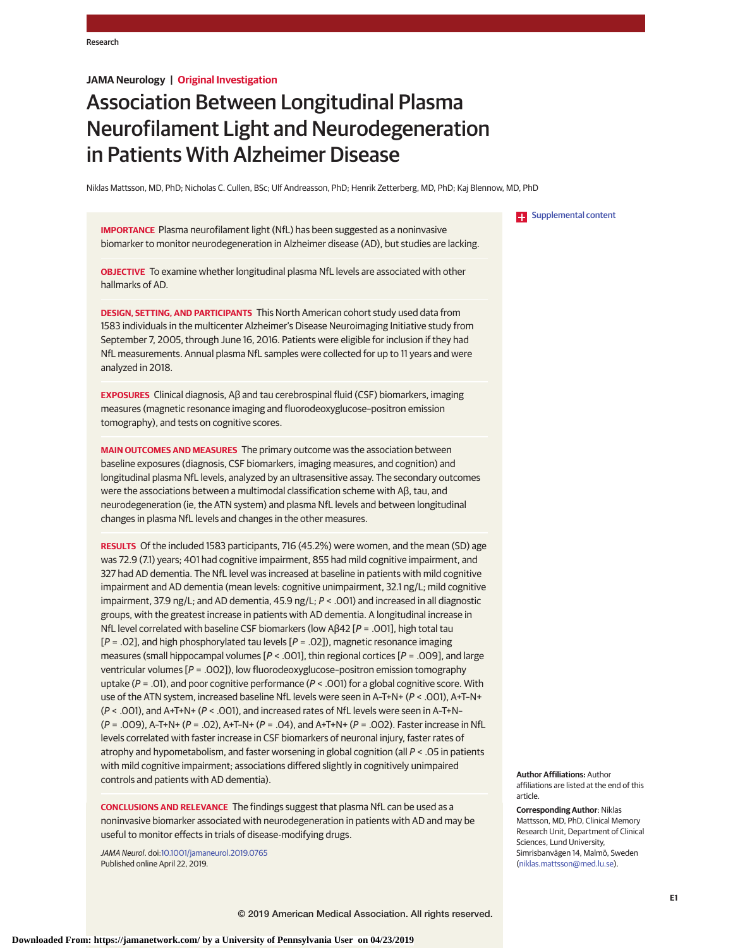# **JAMA Neurology | Original Investigation**

# Association Between Longitudinal Plasma Neurofilament Light and Neurodegeneration in Patients With Alzheimer Disease

Niklas Mattsson, MD, PhD; Nicholas C. Cullen, BSc; Ulf Andreasson, PhD; Henrik Zetterberg, MD, PhD; Kaj Blennow, MD, PhD

**IMPORTANCE** Plasma neurofilament light (NfL) has been suggested as a noninvasive biomarker to monitor neurodegeneration in Alzheimer disease (AD), but studies are lacking.

**OBJECTIVE** To examine whether longitudinal plasma NfL levels are associated with other hallmarks of AD.

**DESIGN, SETTING, AND PARTICIPANTS** This North American cohort study used data from 1583 individuals in the multicenter Alzheimer's Disease Neuroimaging Initiative study from September 7, 2005, through June 16, 2016. Patients were eligible for inclusion if they had NfL measurements. Annual plasma NfL samples were collected for up to 11 years and were analyzed in 2018.

**EXPOSURES** Clinical diagnosis, Aβ and tau cerebrospinal fluid (CSF) biomarkers, imaging measures (magnetic resonance imaging and fluorodeoxyglucose–positron emission tomography), and tests on cognitive scores.

**MAIN OUTCOMES AND MEASURES** The primary outcome was the association between baseline exposures (diagnosis, CSF biomarkers, imaging measures, and cognition) and longitudinal plasma NfL levels, analyzed by an ultrasensitive assay. The secondary outcomes were the associations between a multimodal classification scheme with Aβ, tau, and neurodegeneration (ie, the ATN system) and plasma NfL levels and between longitudinal changes in plasma NfL levels and changes in the other measures.

**RESULTS** Of the included 1583 participants, 716 (45.2%) were women, and the mean (SD) age was 72.9 (7.1) years; 401 had cognitive impairment, 855 had mild cognitive impairment, and 327 had AD dementia. The NfL level was increased at baseline in patients with mild cognitive impairment and AD dementia (mean levels: cognitive unimpairment, 32.1 ng/L; mild cognitive impairment, 37.9 ng/L; and AD dementia, 45.9 ng/L; P < .001) and increased in all diagnostic groups, with the greatest increase in patients with AD dementia. A longitudinal increase in NfL level correlated with baseline CSF biomarkers (low Aβ42 [ $P = .001$ ], high total tau  $[P = .02]$ , and high phosphorylated tau levels  $[P = .02]$ ), magnetic resonance imaging measures (small hippocampal volumes  $[P < .001]$ , thin regional cortices  $[P = .009]$ , and large ventricular volumes [P = .002]), low fluorodeoxyglucose–positron emission tomography uptake ( $P = .01$ ), and poor cognitive performance ( $P < .001$ ) for a global cognitive score. With use of the ATN system, increased baseline NfL levels were seen in A–T+N+ (P < .001), A+T–N+ (P < .001), and A+T+N+ (P < .001), and increased rates of NfL levels were seen in A–T+N–  $(P = .009)$ , A-T+N+  $(P = .02)$ , A+T-N+  $(P = .04)$ , and A+T+N+  $(P = .002)$ . Faster increase in NfL levels correlated with faster increase in CSF biomarkers of neuronal injury, faster rates of atrophy and hypometabolism, and faster worsening in global cognition (all P < .05 in patients with mild cognitive impairment; associations differed slightly in cognitively unimpaired controls and patients with AD dementia).

**CONCLUSIONS AND RELEVANCE** The findings suggest that plasma NfL can be used as a noninvasive biomarker associated with neurodegeneration in patients with AD and may be useful to monitor effects in trials of disease-modifying drugs.

JAMA Neurol. doi[:10.1001/jamaneurol.2019.0765](https://jama.jamanetwork.com/article.aspx?doi=10.1001/jamaneurol.2019.0765&utm_campaign=articlePDF%26utm_medium=articlePDFlink%26utm_source=articlePDF%26utm_content=jamaneurol.2019.0765) Published online April 22, 2019.

**Examplemental content** 

**Author Affiliations:** Author affiliations are listed at the end of this article.

**Corresponding Author**: Niklas Mattsson, MD, PhD, Clinical Memory Research Unit, Department of Clinical Sciences, Lund University, Simrisbanvägen 14, Malmö, Sweden [\(niklas.mattsson@med.lu.se\)](mailto:niklas.mattsson@med.lu.se).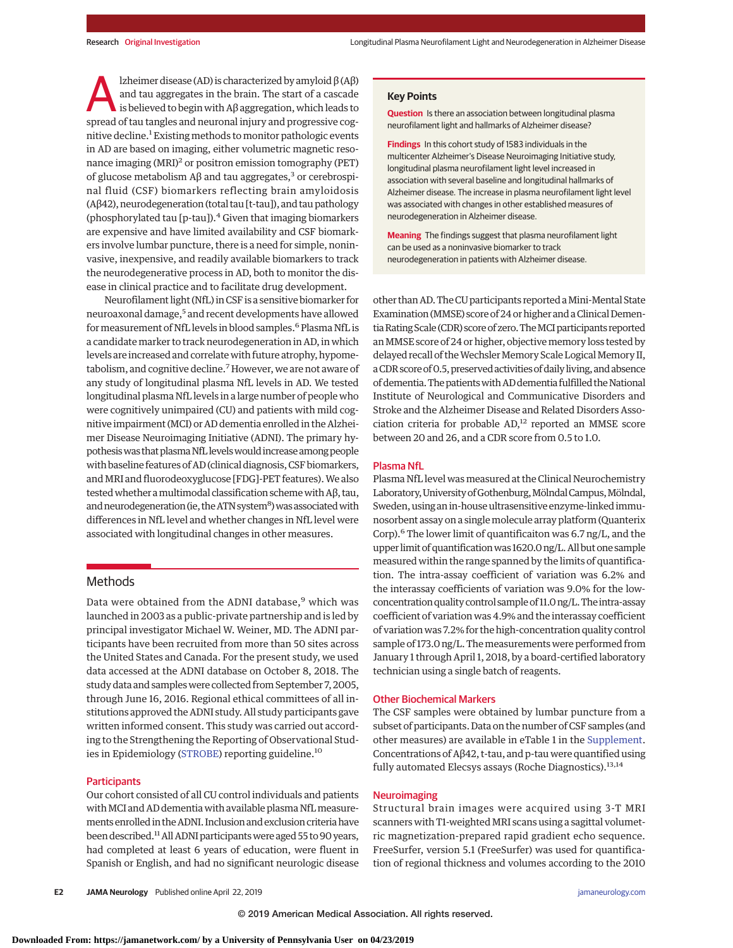lzheimer disease (AD) is characterized by amyloid  $β$  (A $β$ ) and tau aggregates in the brain. The start of a cascade is believed to begin with Aβ aggregation, which leads to spread of tau tangles and neuronal injury and progressive cognitive decline.<sup>1</sup> Existing methods to monitor pathologic events in AD are based on imaging, either volumetric magnetic resonance imaging (MRI)<sup>2</sup> or positron emission tomography (PET) of glucose metabolism  $Aβ$  and tau aggregates,<sup>3</sup> or cerebrospinal fluid (CSF) biomarkers reflecting brain amyloidosis (Aβ42), neurodegeneration (total tau [t-tau]), and tau pathology (phosphorylated tau [p-tau]). $4$  Given that imaging biomarkers are expensive and have limited availability and CSF biomarkers involve lumbar puncture, there is a need for simple, noninvasive, inexpensive, and readily available biomarkers to track the neurodegenerative process in AD, both to monitor the disease in clinical practice and to facilitate drug development.

Neurofilament light (NfL) in CSF is a sensitive biomarker for neuroaxonal damage,<sup>5</sup> and recent developments have allowed for measurement of NfL levels in blood samples.<sup>6</sup> Plasma NfL is a candidate marker to track neurodegeneration in AD, in which levels are increased and correlate with future atrophy, hypometabolism, and cognitive decline.<sup>7</sup> However, we are not aware of any study of longitudinal plasma NfL levels in AD. We tested longitudinal plasma NfL levels in a large number of people who were cognitively unimpaired (CU) and patients with mild cognitive impairment (MCI) or AD dementia enrolled in the Alzheimer Disease Neuroimaging Initiative (ADNI). The primary hypothesis was that plasma NfL levels would increase among people with baseline features of AD (clinical diagnosis, CSF biomarkers, and MRI and fluorodeoxyglucose [FDG]-PET features). We also testedwhether amultimodal classification schemewith Aβ, tau, and neurodegeneration (ie, the ATN system<sup>8</sup>) was associated with differences in NfL level and whether changes in NfL level were associated with longitudinal changes in other measures.

# **Methods**

Data were obtained from the ADNI database,<sup>9</sup> which was launched in 2003 as a public-private partnership and is led by principal investigator Michael W. Weiner, MD. The ADNI participants have been recruited from more than 50 sites across the United States and Canada. For the present study, we used data accessed at the ADNI database on October 8, 2018. The study data and sampleswere collected from September 7, 2005, through June 16, 2016. Regional ethical committees of all institutions approved the ADNI study. All study participants gave written informed consent. This study was carried out according to the Strengthening the Reporting of Observational Stud-ies in Epidemiology [\(STROBE\)](http://www.equator-network.org/reporting-guidelines/strobe/) reporting guideline.<sup>10</sup>

#### **Participants**

Our cohort consisted of all CU control individuals and patients with MCI and AD dementia with available plasma NfL measurements enrolled in the ADNI. Inclusion and exclusion criteria have been described.<sup>11</sup> All ADNI participants were aged 55 to 90 years, had completed at least 6 years of education, were fluent in Spanish or English, and had no significant neurologic disease

## **Key Points**

**Question** Is there an association between longitudinal plasma neurofilament light and hallmarks of Alzheimer disease?

**Findings** In this cohort study of 1583 individuals in the multicenter Alzheimer's Disease Neuroimaging Initiative study, longitudinal plasma neurofilament light level increased in association with several baseline and longitudinal hallmarks of Alzheimer disease. The increase in plasma neurofilament light level was associated with changes in other established measures of neurodegeneration in Alzheimer disease.

**Meaning** The findings suggest that plasma neurofilament light can be used as a noninvasive biomarker to track neurodegeneration in patients with Alzheimer disease.

other than AD. The CU participants reported a Mini-Mental State Examination (MMSE) score of 24 or higher and a Clinical Dementia Rating Scale (CDR) score of zero. The MCI participants reported an MMSE score of 24 or higher, objective memory loss tested by delayed recall of the Wechsler Memory Scale Logical Memory II, a CDR score of 0.5, preserved activities of daily living, and absence of dementia. The patients with AD dementia fulfilled the National Institute of Neurological and Communicative Disorders and Stroke and the Alzheimer Disease and Related Disorders Association criteria for probable AD,<sup>12</sup> reported an MMSE score between 20 and 26, and a CDR score from 0.5 to 1.0.

# Plasma NfL

Plasma NfL level was measured at the Clinical Neurochemistry Laboratory, University of Gothenburg, Mölndal Campus, Mölndal, Sweden, using an in-house ultrasensitive enzyme-linked immunosorbent assay on a singlemolecule array platform (Quanterix Corp). $6$  The lower limit of quantificaiton was 6.7 ng/L, and the upper limit of quantification was 1620.0 ng/L. All but one sample measured within the range spanned by the limits of quantification. The intra-assay coefficient of variation was 6.2% and the interassay coefficients of variation was 9.0% for the lowconcentration quality control sample of 11.0 ng/L. The intra-assay coefficient of variation was 4.9% and the interassay coefficient of variation was 7.2% for the high-concentration quality control sample of 173.0 ng/L. The measurements were performed from January 1 through April 1, 2018, by a board-certified laboratory technician using a single batch of reagents.

## Other Biochemical Markers

The CSF samples were obtained by lumbar puncture from a subset of participants. Data on the number of CSF samples (and other measures) are available in eTable 1 in the [Supplement.](https://jama.jamanetwork.com/article.aspx?doi=10.1001/jamaneurol.2019.0765&utm_campaign=articlePDF%26utm_medium=articlePDFlink%26utm_source=articlePDF%26utm_content=jamaneurol.2019.0765) Concentrations of Aβ42, t-tau, and p-tau were quantified using fully automated Elecsys assays (Roche Diagnostics).<sup>13,14</sup>

## **Neuroimaging**

Structural brain images were acquired using 3-T MRI scanners with T1-weighted MRI scans using a sagittal volumetric magnetization-prepared rapid gradient echo sequence. FreeSurfer, version 5.1 (FreeSurfer) was used for quantification of regional thickness and volumes according to the 2010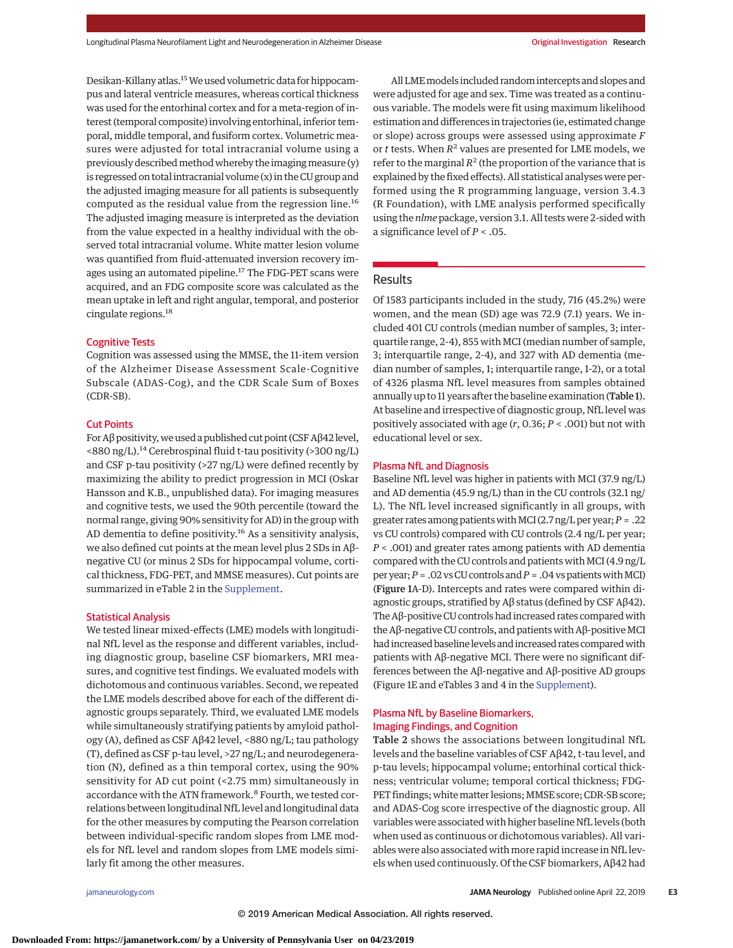Desikan-Killany atlas.15We used volumetric data for hippocampus and lateral ventricle measures, whereas cortical thickness was used for the entorhinal cortex and for a meta-region of interest (temporal composite) involving entorhinal, inferior temporal, middle temporal, and fusiform cortex. Volumetric measures were adjusted for total intracranial volume using a previously described method whereby the imaging measure (y) is regressed on total intracranial volume (x) in the CU group and the adjusted imaging measure for all patients is subsequently computed as the residual value from the regression line.<sup>16</sup> The adjusted imaging measure is interpreted as the deviation from the value expected in a healthy individual with the observed total intracranial volume. White matter lesion volume was quantified from fluid-attenuated inversion recovery images using an automated pipeline.<sup>17</sup> The FDG-PET scans were acquired, and an FDG composite score was calculated as the mean uptake in left and right angular, temporal, and posterior cingulate regions.<sup>18</sup>

# Cognitive Tests

Cognition was assessed using the MMSE, the 11-item version of the Alzheimer Disease Assessment Scale-Cognitive Subscale (ADAS-Cog), and the CDR Scale Sum of Boxes (CDR-SB).

#### Cut Points

For Aβ positivity,we used a published cut point (CSF Aβ42 level,  $\langle$  <880 ng/L).<sup>14</sup> Cerebrospinal fluid t-tau positivity (>300 ng/L) and CSF p-tau positivity (>27 ng/L) were defined recently by maximizing the ability to predict progression in MCI (Oskar Hansson and K.B., unpublished data). For imaging measures and cognitive tests, we used the 90th percentile (toward the normal range, giving 90% sensitivity for AD) in the group with AD dementia to define positivity.<sup>16</sup> As a sensitivity analysis, we also defined cut points at the mean level plus 2 SDs in Aβnegative CU (or minus 2 SDs for hippocampal volume, cortical thickness, FDG-PET, and MMSE measures). Cut points are summarized in eTable 2 in the [Supplement.](https://jama.jamanetwork.com/article.aspx?doi=10.1001/jamaneurol.2019.0765&utm_campaign=articlePDF%26utm_medium=articlePDFlink%26utm_source=articlePDF%26utm_content=jamaneurol.2019.0765)

#### Statistical Analysis

We tested linear mixed-effects (LME) models with longitudinal NfL level as the response and different variables, including diagnostic group, baseline CSF biomarkers, MRI measures, and cognitive test findings. We evaluated models with dichotomous and continuous variables. Second, we repeated the LME models described above for each of the different diagnostic groups separately. Third, we evaluated LME models while simultaneously stratifying patients by amyloid pathology (A), defined as CSF Aβ42 level, <880 ng/L; tau pathology (T), defined as CSF p-tau level, >27 ng/L; and neurodegeneration (N), defined as a thin temporal cortex, using the 90% sensitivity for AD cut point (<2.75 mm) simultaneously in accordance with the ATN framework.<sup>8</sup> Fourth, we tested correlations between longitudinal NfL level and longitudinal data for the other measures by computing the Pearson correlation between individual-specific random slopes from LME models for NfL level and random slopes from LME models similarly fit among the other measures.

All LMEmodels included random intercepts and slopes and were adjusted for age and sex. Time was treated as a continuous variable. The models were fit using maximum likelihood estimation and differences in trajectories (ie, estimated change or slope) across groups were assessed using approximate *F* or *t* tests. When *R*<sup>2</sup> values are presented for LME models, we refer to the marginal  $R^2$  (the proportion of the variance that is explained by the fixed effects). All statistical analyses were performed using the R programming language, version 3.4.3 (R Foundation), with LME analysis performed specifically using the *nlme* package, version 3.1. All tests were 2-sided with a significance level of *P* < .05.

# Results

Of 1583 participants included in the study, 716 (45.2%) were women, and the mean (SD) age was 72.9 (7.1) years. We included 401 CU controls (median number of samples, 3; interquartile range, 2-4), 855 with MCI (median number of sample, 3; interquartile range, 2-4), and 327 with AD dementia (median number of samples, 1; interquartile range, 1-2), or a total of 4326 plasma NfL level measures from samples obtained annually up to 11 years after the baseline examination (Table 1). At baseline and irrespective of diagnostic group, NfL level was positively associated with age (*r*, 0.36; *P* < .001) but not with educational level or sex.

# Plasma NfL and Diagnosis

Baseline NfL level was higher in patients with MCI (37.9 ng/L) and AD dementia (45.9 ng/L) than in the CU controls (32.1 ng/ L). The NfL level increased significantly in all groups, with greater rates among patientswithMCI (2.7 ng/L per year;*P* = .22 vs CU controls) compared with CU controls (2.4 ng/L per year; *P* < .001) and greater rates among patients with AD dementia compared with the CU controls and patients with MCI  $(4.9 \text{ ng/L})$ per year;*P* = .02 vsCU controls and*P* = .04 vs patientswithMCI) (Figure 1A-D). Intercepts and rates were compared within diagnostic groups, stratified by Aβ status (defined by CSF Aβ42). The Aβ-positive CU controls had increased rates compared with the Aβ-negative CU controls, and patients with Aβ-positive MCI had increased baseline levels and increased rates compared with patients with Aβ-negative MCI. There were no significant differences between the Aβ-negative and Aβ-positive AD groups (Figure 1E and eTables 3 and 4 in the [Supplement\)](https://jama.jamanetwork.com/article.aspx?doi=10.1001/jamaneurol.2019.0765&utm_campaign=articlePDF%26utm_medium=articlePDFlink%26utm_source=articlePDF%26utm_content=jamaneurol.2019.0765).

# Plasma NfL by Baseline Biomarkers, Imaging Findings, and Cognition

Table 2 shows the associations between longitudinal NfL levels and the baseline variables of CSF Aβ42, t-tau level, and p-tau levels; hippocampal volume; entorhinal cortical thickness; ventricular volume; temporal cortical thickness; FDG-PET findings; white matter lesions; MMSE score; CDR-SB score; and ADAS-Cog score irrespective of the diagnostic group. All variables were associated with higher baseline NfL levels (both when used as continuous or dichotomous variables). All variables were also associated with more rapid increase in NfL levels when used continuously. Of the CSF biomarkers, Aβ42 had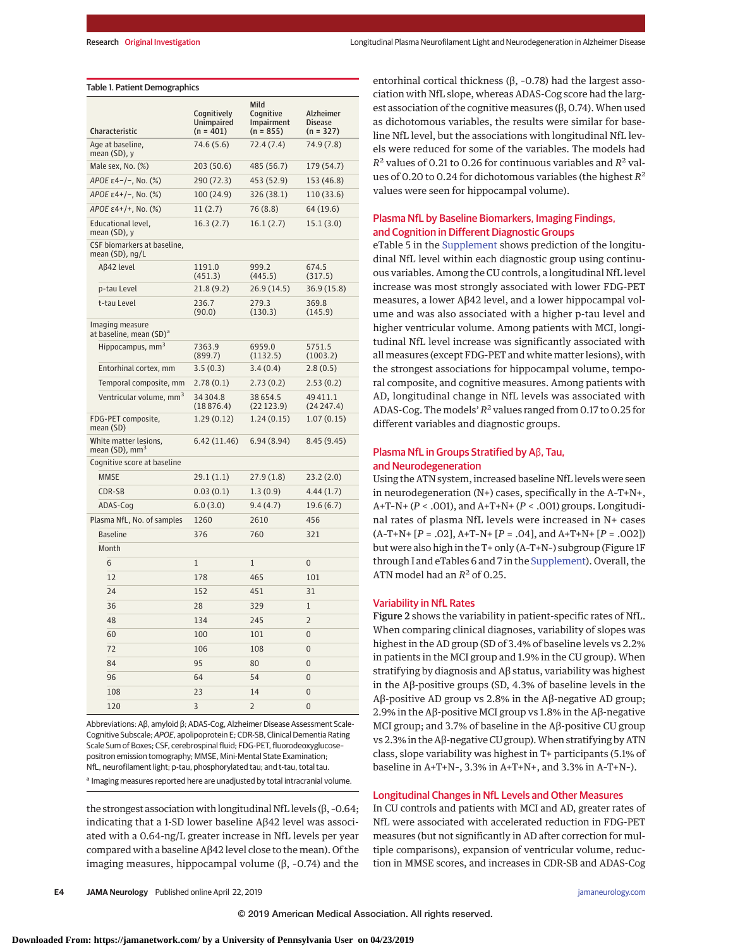#### Table 1. Patient Demographics

| Characteristic                                         | Cognitively<br>Unimpaired<br>$(n = 401)$ | Mild<br>Cognitive<br>Impairment<br>$(n = 855)$ | Alzheimer<br><b>Disease</b><br>$(n = 327)$ |  |
|--------------------------------------------------------|------------------------------------------|------------------------------------------------|--------------------------------------------|--|
| Age at baseline,<br>mean (SD), y                       | 74.6 (5.6)                               | 72.4(7.4)                                      | 74.9 (7.8)                                 |  |
| Male sex, No. $(\%)$                                   | 203 (50.6)                               | 485 (56.7)                                     | 179 (54.7)                                 |  |
| APOE ε4-/-, No. (%)                                    | 290 (72.3)                               | 453 (52.9)                                     | 153 (46.8)                                 |  |
| APOE $\varepsilon$ 4+/-, No. (%)                       | 100 (24.9)                               | 326 (38.1)                                     | 110 (33.6)                                 |  |
| APOE ε4+/+, No. (%)                                    | 11(2.7)                                  | 76 (8.8)                                       | 64 (19.6)                                  |  |
| Educational level,<br>mean (SD), y                     | 16.3(2.7)                                | 16.1(2.7)                                      | 15.1(3.0)                                  |  |
| CSF biomarkers at baseline,<br>mean (SD), ng/L         |                                          |                                                |                                            |  |
| Aβ42 level                                             | 1191.0<br>(451.3)                        | 999.2<br>(445.5)                               | 674.5<br>(317.5)                           |  |
| p-tau Level                                            | 21.8(9.2)                                | 26.9 (14.5)                                    | 36.9 (15.8)                                |  |
| t-tau Level                                            | 236.7<br>(90.0)                          | 279.3<br>(130.3)                               | 369.8<br>(145.9)                           |  |
| Imaging measure<br>at baseline, mean (SD) <sup>a</sup> |                                          |                                                |                                            |  |
| Hippocampus, mm <sup>3</sup>                           | 7363.9<br>(899.7)                        | 6959.0<br>(1132.5)                             | 5751.5<br>(1003.2)                         |  |
| Entorhinal cortex, mm                                  | 3.5(0.3)                                 | 3.4(0.4)                                       | 2.8(0.5)                                   |  |
| Temporal composite, mm                                 | 2.78(0.1)                                | 2.73(0.2)                                      | 2.53(0.2)                                  |  |
| Ventricular volume, mm <sup>3</sup>                    | 34 304.8<br>(18876.4)                    | 38 654.5<br>(22123.9)                          | 49411.1<br>(24 247.4)                      |  |
| FDG-PET composite,<br>mean (SD)                        | 1.29(0.12)                               | 1.24(0.15)                                     | 1.07(0.15)                                 |  |
| White matter lesions,<br>mean (SD), mm <sup>3</sup>    | 6.42 (11.46)                             | 6.94(8.94)                                     | 8.45 (9.45)                                |  |
| Cognitive score at baseline                            |                                          |                                                |                                            |  |
| <b>MMSE</b>                                            | 29.1(1.1)                                | 27.9(1.8)                                      | 23.2(2.0)                                  |  |
| CDR-SB                                                 | 0.03(0.1)                                | 1.3(0.9)                                       | 4.44(1.7)                                  |  |
| ADAS-Cog                                               | 6.0(3.0)                                 | 9.4(4.7)                                       | 19.6 (6.7)                                 |  |
| Plasma NfL, No. of samples                             | 1260                                     | 2610                                           | 456                                        |  |
| <b>Baseline</b>                                        | 376                                      | 760                                            | 321                                        |  |
| Month                                                  |                                          |                                                |                                            |  |
| 6                                                      | $\mathbf{1}$                             | 1                                              | $\overline{0}$                             |  |
| 12                                                     | 178                                      | 465                                            | 101                                        |  |
| 24                                                     | 152                                      | 451                                            | 31                                         |  |
| 36                                                     | 28                                       | 329                                            | $\mathbf{1}$                               |  |
| 48                                                     | 134                                      | 245                                            | $\overline{2}$                             |  |
| 60                                                     | 100                                      | 101                                            | $\overline{0}$                             |  |
| 72                                                     | 106                                      | 108                                            | $\overline{0}$                             |  |
| 84                                                     | 95                                       | 80                                             | $\overline{0}$                             |  |
| 96                                                     | 64                                       | 54                                             | $\overline{0}$                             |  |
| 108                                                    | 23                                       | 14                                             | $\overline{0}$                             |  |
| 120                                                    | 3                                        | $\overline{2}$                                 | $\overline{0}$                             |  |

Abbreviations: Aβ, amyloid β; ADAS-Cog, Alzheimer Disease Assessment Scale-Cognitive Subscale; APOE, apolipoprotein E; CDR-SB, Clinical Dementia Rating Scale Sum of Boxes; CSF, cerebrospinal fluid; FDG-PET, fluorodeoxyglucose– positron emission tomography; MMSE, Mini-Mental State Examination; NfL, neurofilament light; p-tau, phosphorylated tau; and t-tau, total tau. a Imaging measures reported here are unadjusted by total intracranial volume.

the strongest association with longitudinal NfL levels (β, –0.64; indicating that a 1-SD lower baseline Aβ42 level was associated with a 0.64-ng/L greater increase in NfL levels per year compared with a baseline Aβ42 level close to the mean). Of the imaging measures, hippocampal volume ( $β$ , -0.74) and the

entorhinal cortical thickness (β, –0.78) had the largest association with NfL slope, whereas ADAS-Cog score had the largest association of the cognitive measures  $(0, 0.74)$ . When used as dichotomous variables, the results were similar for baseline NfL level, but the associations with longitudinal NfL levels were reduced for some of the variables. The models had  $R^2$  values of 0.21 to 0.26 for continuous variables and  $R^2$  values of 0.20 to 0.24 for dichotomous variables (the highest *R*<sup>2</sup> values were seen for hippocampal volume).

# Plasma NfL by Baseline Biomarkers, Imaging Findings, and Cognition in Different Diagnostic Groups

eTable 5 in the [Supplement](https://jama.jamanetwork.com/article.aspx?doi=10.1001/jamaneurol.2019.0765&utm_campaign=articlePDF%26utm_medium=articlePDFlink%26utm_source=articlePDF%26utm_content=jamaneurol.2019.0765) shows prediction of the longitudinal NfL level within each diagnostic group using continuous variables. Among the CU controls, a longitudinal NfL level increase was most strongly associated with lower FDG-PET measures, a lower Aβ42 level, and a lower hippocampal volume and was also associated with a higher p-tau level and higher ventricular volume. Among patients with MCI, longitudinal NfL level increase was significantly associated with all measures (except FDG-PET and white matter lesions), with the strongest associations for hippocampal volume, temporal composite, and cognitive measures. Among patients with AD, longitudinal change in NfL levels was associated with ADAS-Cog. The models'  $R^2$  values ranged from 0.17 to 0.25 for different variables and diagnostic groups.

# Plasma NfL in Groups Stratified by Aβ, Tau, and Neurodegeneration

Using the ATN system, increased baseline NfL levels were seen in neurodegeneration (N+) cases, specifically in the A–T+N+, A+T–N+ (*P* < .001), and A+T+N+ (*P* < .001) groups. Longitudinal rates of plasma NfL levels were increased in N+ cases (A–T+N+ [*P* = .02], A+T–N+ [*P* = .04], and A+T+N+ [*P* = .002]) but were also high in the T+ only (A–T+N–) subgroup (Figure 1F through I and eTables 6 and 7 in the [Supplement\)](https://jama.jamanetwork.com/article.aspx?doi=10.1001/jamaneurol.2019.0765&utm_campaign=articlePDF%26utm_medium=articlePDFlink%26utm_source=articlePDF%26utm_content=jamaneurol.2019.0765). Overall, the ATN model had an  $R^2$  of 0.25.

#### Variability in NfL Rates

Figure 2 shows the variability in patient-specific rates of NfL. When comparing clinical diagnoses, variability of slopes was highest in the AD group (SD of 3.4% of baseline levels vs 2.2% in patients in the MCI group and 1.9% in the CU group). When stratifying by diagnosis and Aβ status, variability was highest in the Aβ-positive groups (SD, 4.3% of baseline levels in the Aβ-positive AD group vs 2.8% in the Aβ-negative AD group; 2.9% in the Aβ-positive MCI group vs 1.8% in the Aβ-negative MCI group; and 3.7% of baseline in the Aβ-positive CU group vs 2.3% in the Aβ-negative CU group). When stratifying by ATN class, slope variability was highest in T+ participants (5.1% of baseline in A+T+N–, 3.3% in A+T+N+, and 3.3% in A–T+N–).

#### Longitudinal Changes in NfL Levels and Other Measures

In CU controls and patients with MCI and AD, greater rates of NfL were associated with accelerated reduction in FDG-PET measures (but not significantly in AD after correction for multiple comparisons), expansion of ventricular volume, reduction in MMSE scores, and increases in CDR-SB and ADAS-Cog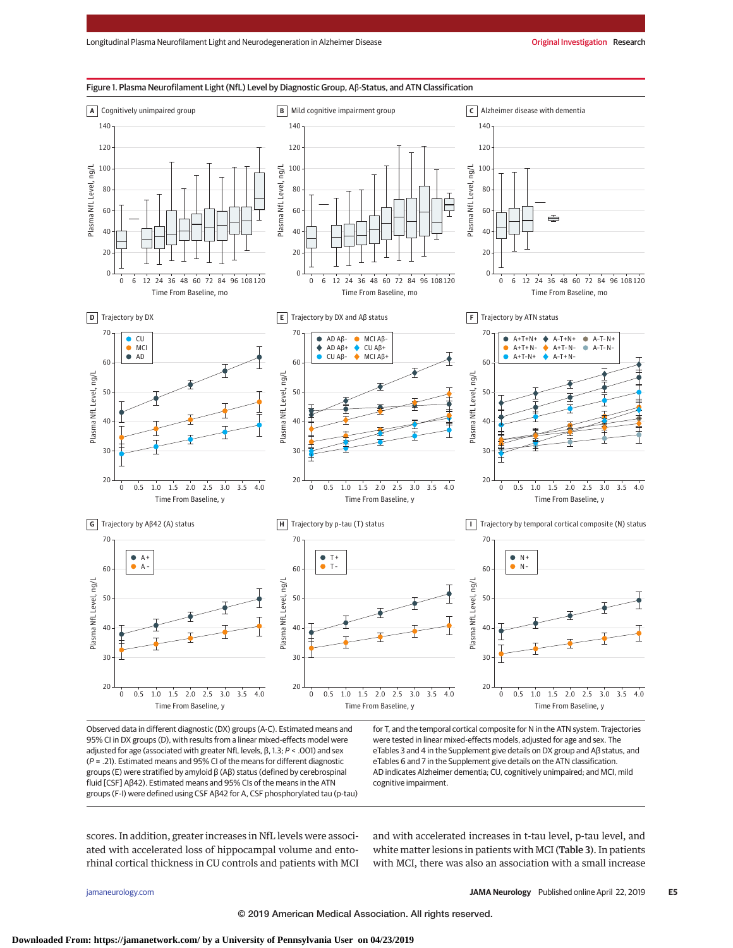

Observed data in different diagnostic (DX) groups (A-C). Estimated means and 95% CI in DX groups (D), with results from a linear mixed-effects model were adjusted for age (associated with greater NfL levels, β, 1.3; P < .001) and sex  $(P = .21)$ . Estimated means and 95% CI of the means for different diagnostic groups (E) were stratified by amyloid β (Aβ) status (defined by cerebrospinal fluid [CSF] Aβ42). Estimated means and 95% CIs of the means in the ATN groups (F-I) were defined using CSF Aβ42 for A, CSF phosphorylated tau (p-tau) for T, and the temporal cortical composite for N in the ATN system. Trajectories were tested in linear mixed-effects models, adjusted for age and sex. The eTables 3 and 4 in the Supplement give details on DX group and Aβ status, and eTables 6 and 7 in the Supplement give details on the ATN classification. AD indicates Alzheimer dementia; CU, cognitively unimpaired; and MCI, mild cognitive impairment.

scores. In addition, greater increases in NfL levels were associated with accelerated loss of hippocampal volume and entorhinal cortical thickness in CU controls and patients with MCI and with accelerated increases in t-tau level, p-tau level, and white matter lesions in patients with MCI (Table 3). In patients with MCI, there was also an association with a small increase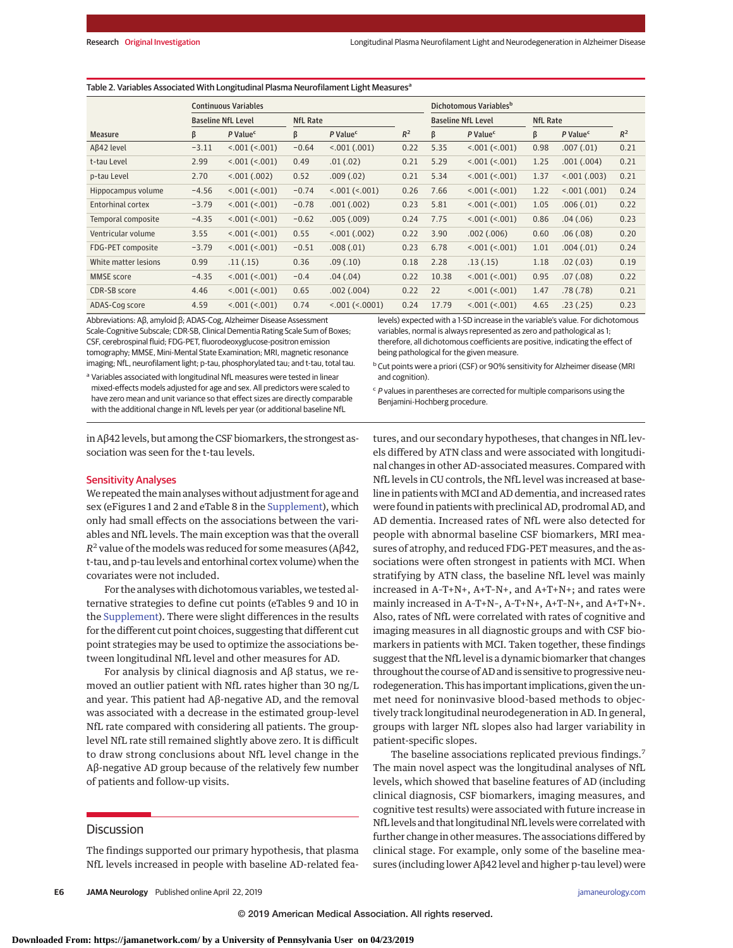| <b>Continuous Variables</b> |         |                           |                 | Dichotomous Variables <sup>b</sup> |       |                           |                      |                 |                      |       |
|-----------------------------|---------|---------------------------|-----------------|------------------------------------|-------|---------------------------|----------------------|-----------------|----------------------|-------|
|                             |         | <b>Baseline NfL Level</b> | <b>NfL Rate</b> |                                    |       | <b>Baseline NfL Level</b> |                      | <b>NfL Rate</b> |                      |       |
| <b>Measure</b>              | β       | P Value <sup>c</sup>      | ß               | P Value <sup>c</sup>               | $R^2$ | β                         | P Value <sup>c</sup> | ß               | P Value <sup>c</sup> | $R^2$ |
| Aß42 level                  | $-3.11$ | < .001 (< .001)           | $-0.64$         | < .001 (.001)                      | 0.22  | 5.35                      | < 001 (< 001)        | 0.98            | .007(.01)            | 0.21  |
| t-tau Level                 | 2.99    | $< 001$ ( $< 001$ )       | 0.49            | .01(.02)                           | 0.21  | 5.29                      | < 001 (< 001)        | 1.25            | .001(.004)           | 0.21  |
| p-tau Level                 | 2.70    | < 001 (.002)              | 0.52            | .009(.02)                          | 0.21  | 5.34                      | < 001 (< 001)        | 1.37            | < 001 (.003)         | 0.21  |
| Hippocampus volume          | $-4.56$ | $< 001$ ( $< 001$ )       | $-0.74$         | $< 001$ ( $< 001$ )                | 0.26  | 7.66                      | < 001 (< 001)        | 1.22            | < .001 (.001)        | 0.24  |
| <b>Entorhinal cortex</b>    | $-3.79$ | $< 001$ ( $< 001$ )       | $-0.78$         | .001(.002)                         | 0.23  | 5.81                      | < 001 (< 001)        | 1.05            | .006(.01)            | 0.22  |
| Temporal composite          | $-4.35$ | $< 001$ ( $< 001$ )       | $-0.62$         | .005(.009)                         | 0.24  | 7.75                      | < 001 (< 001)        | 0.86            | .04(.06)             | 0.23  |
| Ventricular volume          | 3.55    | $< 001$ ( $< 001$ )       | 0.55            | < 001 (.002)                       | 0.22  | 3.90                      | .002(.006)           | 0.60            | .06(.08)             | 0.20  |
| FDG-PET composite           | $-3.79$ | < 001 (< 001)             | $-0.51$         | .008(.01)                          | 0.23  | 6.78                      | < .001 (< .001)      | 1.01            | .004(.01)            | 0.24  |
| White matter lesions        | 0.99    | .11(.15)                  | 0.36            | .09(.10)                           | 0.18  | 2.28                      | .13(.15)             | 1.18            | .02(.03)             | 0.19  |
| <b>MMSE</b> score           | $-4.35$ | < 001 (< 001)             | $-0.4$          | .04(.04)                           | 0.22  | 10.38                     | < .001 (< .001)      | 0.95            | .07(.08)             | 0.22  |
| CDR-SB score                | 4.46    | $< 001$ ( $< 001$ )       | 0.65            | .002(.004)                         | 0.22  | 22                        | < 001 (< 001)        | 1.47            | .78(.78)             | 0.21  |
| ADAS-Cog score              | 4.59    | $< 001$ ( $< 001$ )       | 0.74            | $< 001$ ( $< 0001$ )               | 0.24  | 17.79                     | < 001 (< 001)        | 4.65            | .23(.25)             | 0.23  |

and cognition).

#### Table 2. Variables Associated With Longitudinal Plasma Neurofilament Light Measures<sup>a</sup>

Abbreviations: Aβ, amyloid β; ADAS-Cog, Alzheimer Disease Assessment Scale-Cognitive Subscale; CDR-SB, Clinical Dementia Rating Scale Sum of Boxes; CSF, cerebrospinal fluid; FDG-PET, fluorodeoxyglucose-positron emission tomography; MMSE, Mini-Mental State Examination; MRI, magnetic resonance imaging; NfL, neurofilament light; p-tau, phosphorylated tau; and t-tau, total tau. levels) expected with a 1-SD increase in the variable's value. For dichotomous variables, normal is always represented as zero and pathological as 1; therefore, all dichotomous coefficients are positive, indicating the effect of being pathological for the given measure.

<sup>a</sup> Variables associated with longitudinal NfL measures were tested in linear mixed-effects models adjusted for age and sex. All predictors were scaled to have zero mean and unit variance so that effect sizes are directly comparable with the additional change in NfL levels per year (or additional baseline NfL

 $c$  P values in parentheses are corrected for multiple comparisons using the Benjamini-Hochberg procedure.

b Cut points were a priori (CSF) or 90% sensitivity for Alzheimer disease (MRI

in Aβ42 levels, but among the CSF biomarkers, the strongest association was seen for the t-tau levels.

## Sensitivity Analyses

We repeated themain analyses without adjustment for age and sex (eFigures 1 and 2 and eTable 8 in the [Supplement\)](https://jama.jamanetwork.com/article.aspx?doi=10.1001/jamaneurol.2019.0765&utm_campaign=articlePDF%26utm_medium=articlePDFlink%26utm_source=articlePDF%26utm_content=jamaneurol.2019.0765), which only had small effects on the associations between the variables and NfL levels. The main exception was that the overall  $R^2$  value of the models was reduced for some measures (A $\beta$ 42, t-tau, and p-tau levels and entorhinal cortex volume) when the covariates were not included.

For the analyses with dichotomous variables, we tested alternative strategies to define cut points (eTables 9 and 10 in the [Supplement\)](https://jama.jamanetwork.com/article.aspx?doi=10.1001/jamaneurol.2019.0765&utm_campaign=articlePDF%26utm_medium=articlePDFlink%26utm_source=articlePDF%26utm_content=jamaneurol.2019.0765). There were slight differences in the results for the different cut point choices, suggesting that different cut point strategies may be used to optimize the associations between longitudinal NfL level and other measures for AD.

For analysis by clinical diagnosis and Aβ status, we removed an outlier patient with NfL rates higher than 30 ng/L and year. This patient had Aβ-negative AD, and the removal was associated with a decrease in the estimated group-level NfL rate compared with considering all patients. The grouplevel NfL rate still remained slightly above zero. It is difficult to draw strong conclusions about NfL level change in the Aβ-negative AD group because of the relatively few number of patients and follow-up visits.

## **Discussion**

The findings supported our primary hypothesis, that plasma NfL levels increased in people with baseline AD-related fea-

tures, and our secondary hypotheses, that changes in NfL levels differed by ATN class and were associated with longitudinal changes in other AD-associated measures. Compared with NfL levels in CU controls, the NfL level was increased at baseline in patients with MCI and AD dementia, and increased rates were found in patients with preclinical AD, prodromal AD, and AD dementia. Increased rates of NfL were also detected for people with abnormal baseline CSF biomarkers, MRI measures of atrophy, and reduced FDG-PET measures, and the associations were often strongest in patients with MCI. When stratifying by ATN class, the baseline NfL level was mainly increased in A–T+N+, A+T–N+, and A+T+N+; and rates were mainly increased in A–T+N–, A–T+N+, A+T–N+, and A+T+N+. Also, rates of NfL were correlated with rates of cognitive and imaging measures in all diagnostic groups and with CSF biomarkers in patients with MCI. Taken together, these findings suggest that the NfL level is a dynamic biomarker that changes throughout the course of AD and is sensitive to progressive neurodegeneration. This has important implications, given the unmet need for noninvasive blood-based methods to objectively track longitudinal neurodegeneration in AD. In general, groups with larger NfL slopes also had larger variability in patient-specific slopes.

The baseline associations replicated previous findings.<sup>7</sup> The main novel aspect was the longitudinal analyses of NfL levels, which showed that baseline features of AD (including clinical diagnosis, CSF biomarkers, imaging measures, and cognitive test results) were associated with future increase in NfL levels and that longitudinal NfL levels were correlated with further change in other measures. The associations differed by clinical stage. For example, only some of the baseline measures (including lower Aβ42 level and higher p-tau level) were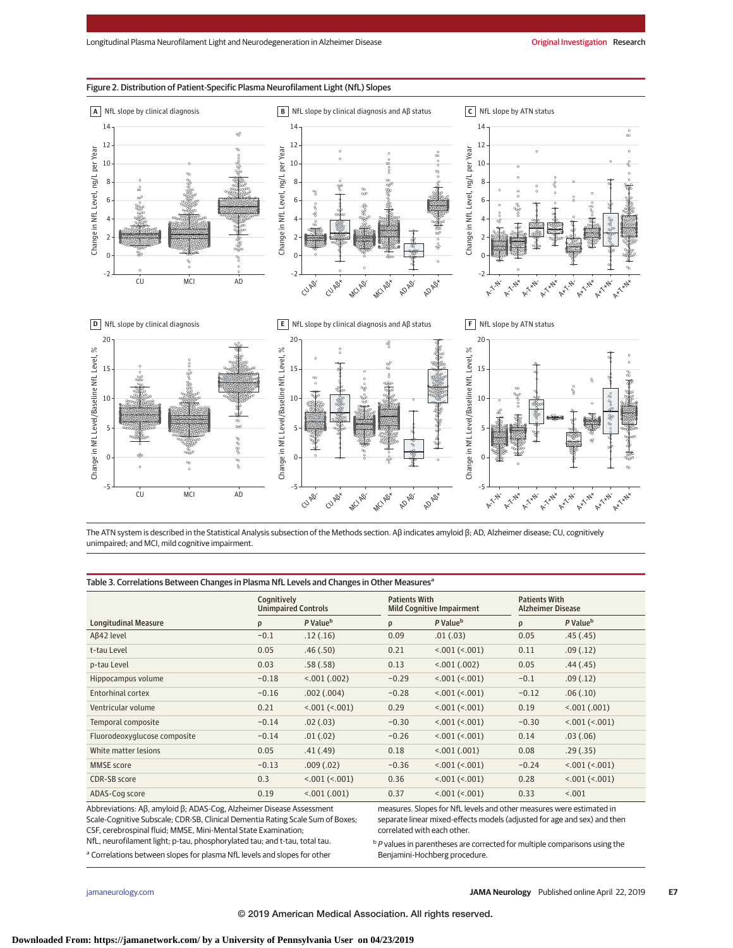

Figure 2. Distribution of Patient-Specific Plasma Neurofilament Light (NfL) Slopes

The ATN system is described in the Statistical Analysis subsection of the Methods section. Aβ indicates amyloid β; AD, Alzheimer disease; CU, cognitively unimpaired; and MCI, mild cognitive impairment.

#### Table 3. Correlations Between Changes in Plasma NfL Levels and Changes in Other Measures<sup>a</sup>

|                                                                                                                                                                                                                                                                                                        | Cognitively<br><b>Unimpaired Controls</b> |                      | <b>Patients With</b><br><b>Mild Cognitive Impairment</b>                                                                                                                                                                                                                 |                      | <b>Patients With</b><br><b>Alzheimer Disease</b> |                      |
|--------------------------------------------------------------------------------------------------------------------------------------------------------------------------------------------------------------------------------------------------------------------------------------------------------|-------------------------------------------|----------------------|--------------------------------------------------------------------------------------------------------------------------------------------------------------------------------------------------------------------------------------------------------------------------|----------------------|--------------------------------------------------|----------------------|
| <b>Longitudinal Measure</b>                                                                                                                                                                                                                                                                            | ρ                                         | P Value <sup>b</sup> | ρ                                                                                                                                                                                                                                                                        | P Value <sup>b</sup> | ρ                                                | P Value <sup>b</sup> |
| Aß42 level                                                                                                                                                                                                                                                                                             | $-0.1$                                    | .12(.16)             | 0.09                                                                                                                                                                                                                                                                     | .01(.03)             | 0.05                                             | .45(.45)             |
| t-tau Level                                                                                                                                                                                                                                                                                            | 0.05                                      | .46(.50)             | 0.21                                                                                                                                                                                                                                                                     | < .001 (< .001)      | 0.11                                             | .09(.12)             |
| p-tau Level                                                                                                                                                                                                                                                                                            | 0.03                                      | .58(.58)             | 0.13                                                                                                                                                                                                                                                                     | 0.001(0.002)         |                                                  | .44(.45)             |
| Hippocampus volume                                                                                                                                                                                                                                                                                     | $-0.18$                                   | < 001(.002)          | $-0.29$                                                                                                                                                                                                                                                                  | < 001 (< 001)        | $-0.1$                                           | .09(.12)             |
| <b>Entorhinal cortex</b>                                                                                                                                                                                                                                                                               | $-0.16$                                   | .002(.004)           | $-0.28$                                                                                                                                                                                                                                                                  | < 001 (< 001)        | $-0.12$                                          | .06(.10)             |
| Ventricular volume                                                                                                                                                                                                                                                                                     | 0.21                                      | < .001 (< .001)      | 0.29                                                                                                                                                                                                                                                                     | < .001 (< .001)      | 0.19                                             | < .001(0.001)        |
| Temporal composite                                                                                                                                                                                                                                                                                     | $-0.14$                                   | .02(.03)             | $-0.30$                                                                                                                                                                                                                                                                  | < 001 (< 001)        | $-0.30$                                          | < .001 (< .001)      |
| Fluorodeoxyglucose composite                                                                                                                                                                                                                                                                           | $-0.14$                                   | .01(.02)             | $-0.26$                                                                                                                                                                                                                                                                  | < 001 (< 001)        | 0.14                                             | .03(.06)             |
| White matter lesions                                                                                                                                                                                                                                                                                   | 0.05                                      | .41(.49)             | 0.18                                                                                                                                                                                                                                                                     | < 001 (.001)         | 0.08                                             | .29(.35)             |
| <b>MMSE</b> score                                                                                                                                                                                                                                                                                      | $-0.13$                                   | .009(.02)            | $-0.36$                                                                                                                                                                                                                                                                  | < .001 (< .001)      |                                                  | < .001 (< .001)      |
| CDR-SB score                                                                                                                                                                                                                                                                                           | 0.3                                       | < .001 (< .001)      | < .001 (< .001)<br>0.36                                                                                                                                                                                                                                                  |                      | 0.28                                             | < .001 (< .001)      |
| ADAS-Cog score                                                                                                                                                                                                                                                                                         | 0.19                                      | < 001(.001)          | 0.37                                                                                                                                                                                                                                                                     | < 001 (< 001)        | 0.33                                             | < .001               |
| Abbreviations: Aβ, amyloid β; ADAS-Cog, Alzheimer Disease Assessment<br>Scale-Cognitive Subscale; CDR-SB, Clinical Dementia Rating Scale Sum of Boxes;<br>CSF, cerebrospinal fluid; MMSE, Mini-Mental State Examination;<br>NfL, neurofilament light; p-tau, phosphorylated tau; and t-tau, total tau. |                                           |                      | measures. Slopes for NfL levels and other measures were estimated in<br>separate linear mixed-effects models (adjusted for age and sex) and then<br>correlated with each other.<br><sup>b</sup> P values in parentheses are corrected for multiple comparisons using the |                      |                                                  |                      |

<sup>a</sup> Correlations between slopes for plasma NfL levels and slopes for other

 $b$  P values in parentheses are corrected for multiple comparisons using the

Benjamini-Hochberg procedure.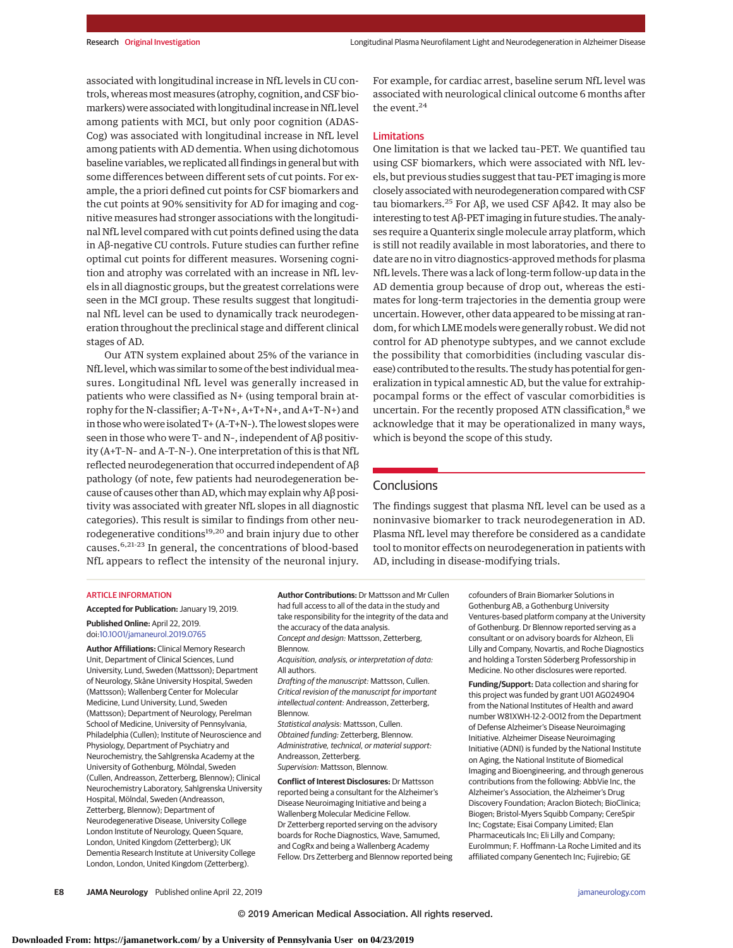associated with longitudinal increase in NfL levels in CU controls, whereas most measures (atrophy, cognition, and CSF biomarkers) were associated with longitudinal increase in NfL level among patients with MCI, but only poor cognition (ADAS-Cog) was associated with longitudinal increase in NfL level among patients with AD dementia. When using dichotomous baseline variables, we replicated all findings in general but with some differences between different sets of cut points. For example, the a priori defined cut points for CSF biomarkers and the cut points at 90% sensitivity for AD for imaging and cognitive measures had stronger associations with the longitudinal NfL level compared with cut points defined using the data in Aβ-negative CU controls. Future studies can further refine optimal cut points for different measures. Worsening cognition and atrophy was correlated with an increase in NfL levels in all diagnostic groups, but the greatest correlations were seen in the MCI group. These results suggest that longitudinal NfL level can be used to dynamically track neurodegeneration throughout the preclinical stage and different clinical stages of AD.

Our ATN system explained about 25% of the variance in NfL level, which was similar to some of the best individual measures. Longitudinal NfL level was generally increased in patients who were classified as N+ (using temporal brain atrophy for the N-classifier; A–T+N+, A+T+N+, and A+T–N+) and in those who were isolated T+ (A–T+N–). The lowest slopes were seen in those who were T– and N–, independent of Aβ positivity (A+T–N– and A–T–N–). One interpretation of this is that NfL reflected neurodegeneration that occurred independent of Aβ pathology (of note, few patients had neurodegeneration because of causes other than AD, which may explain why A $\beta$  positivity was associated with greater NfL slopes in all diagnostic categories). This result is similar to findings from other neurodegenerative conditions<sup>19,20</sup> and brain injury due to other causes.6,21-23 In general, the concentrations of blood-based NfL appears to reflect the intensity of the neuronal injury.

For example, for cardiac arrest, baseline serum NfL level was associated with neurological clinical outcome 6 months after the event.<sup>24</sup>

# Limitations

One limitation is that we lacked tau–PET. We quantified tau using CSF biomarkers, which were associated with NfL levels, but previous studies suggest that tau-PET imaging is more closely associated with neurodegeneration compared with CSF tau biomarkers.<sup>25</sup> For Aβ, we used CSF Aβ42. It may also be interesting to test Aβ-PET imaging in future studies. The analyses require a Quanterix single molecule array platform, which is still not readily available in most laboratories, and there to date are no in vitro diagnostics-approved methods for plasma NfL levels. There was a lack of long-term follow-up data in the AD dementia group because of drop out, whereas the estimates for long-term trajectories in the dementia group were uncertain. However, other data appeared to be missing at random, for which LME models were generally robust. We did not control for AD phenotype subtypes, and we cannot exclude the possibility that comorbidities (including vascular disease) contributed to the results. The study has potential for generalization in typical amnestic AD, but the value for extrahippocampal forms or the effect of vascular comorbidities is uncertain. For the recently proposed ATN classification,<sup>8</sup> we acknowledge that it may be operationalized in many ways, which is beyond the scope of this study.

# **Conclusions**

The findings suggest that plasma NfL level can be used as a noninvasive biomarker to track neurodegeneration in AD. Plasma NfL level may therefore be considered as a candidate tool to monitor effects on neurodegeneration in patients with AD, including in disease-modifying trials.

#### ARTICLE INFORMATION

**Accepted for Publication:** January 19, 2019. **Published Online:** April 22, 2019. doi[:10.1001/jamaneurol.2019.0765](https://jama.jamanetwork.com/article.aspx?doi=10.1001/jamaneurol.2019.0765&utm_campaign=articlePDF%26utm_medium=articlePDFlink%26utm_source=articlePDF%26utm_content=jamaneurol.2019.0765)

**Author Affiliations:** Clinical Memory Research Unit, Department of Clinical Sciences, Lund University, Lund, Sweden (Mattsson); Department of Neurology, Skåne University Hospital, Sweden (Mattsson); Wallenberg Center for Molecular Medicine, Lund University, Lund, Sweden (Mattsson); Department of Neurology, Perelman School of Medicine, University of Pennsylvania, Philadelphia (Cullen); Institute of Neuroscience and Physiology, Department of Psychiatry and Neurochemistry, the Sahlgrenska Academy at the University of Gothenburg, Mölndal, Sweden (Cullen, Andreasson, Zetterberg, Blennow); Clinical Neurochemistry Laboratory, Sahlgrenska University Hospital, Mölndal, Sweden (Andreasson, Zetterberg, Blennow); Department of Neurodegenerative Disease, University College London Institute of Neurology, Queen Square, London, United Kingdom (Zetterberg); UK Dementia Research Institute at University College London, London, United Kingdom (Zetterberg).

**Author Contributions:** Dr Mattsson and Mr Cullen had full access to all of the data in the study and take responsibility for the integrity of the data and the accuracy of the data analysis. Concept and design: Mattsson, Zetterberg, Blennow. Acquisition, analysis, or interpretation of data: All authors. Drafting of the manuscript: Mattsson, Cullen. Critical revision of the manuscript for important intellectual content: Andreasson, Zetterberg, **Blennow** Statistical analysis: Mattsson, Cullen. Obtained funding: Zetterberg, Blennow. Administrative, technical, or material support: Andreasson, Zetterberg. Supervision: Mattsson, Blennow. **Conflict of Interest Disclosures:** Dr Mattsson

reported being a consultant for the Alzheimer's Disease Neuroimaging Initiative and being a Wallenberg Molecular Medicine Fellow. Dr Zetterberg reported serving on the advisory boards for Roche Diagnostics, Wave, Samumed, and CogRx and being a Wallenberg Academy Fellow. Drs Zetterberg and Blennow reported being

cofounders of Brain Biomarker Solutions in Gothenburg AB, a Gothenburg University Ventures-based platform company at the University of Gothenburg. Dr Blennow reported serving as a consultant or on advisory boards for Alzheon, Eli Lilly and Company, Novartis, and Roche Diagnostics and holding a Torsten Söderberg Professorship in Medicine. No other disclosures were reported.

**Funding/Support:** Data collection and sharing for this project was funded by grant U01 AG024904 from the National Institutes of Health and award number W81XWH-12-2-0012 from the Department of Defense Alzheimer's Disease Neuroimaging Initiative. Alzheimer Disease Neuroimaging Initiative (ADNI) is funded by the National Institute on Aging, the National Institute of Biomedical Imaging and Bioengineering, and through generous contributions from the following: AbbVie Inc, the Alzheimer's Association, the Alzheimer's Drug Discovery Foundation; Araclon Biotech; BioClinica; Biogen; Bristol-Myers Squibb Company; CereSpir Inc; Cogstate; Eisai Company Limited; Elan Pharmaceuticals Inc; Eli Lilly and Company; EuroImmun; F. Hoffmann-La Roche Limited and its affiliated company Genentech Inc; Fujirebio; GE